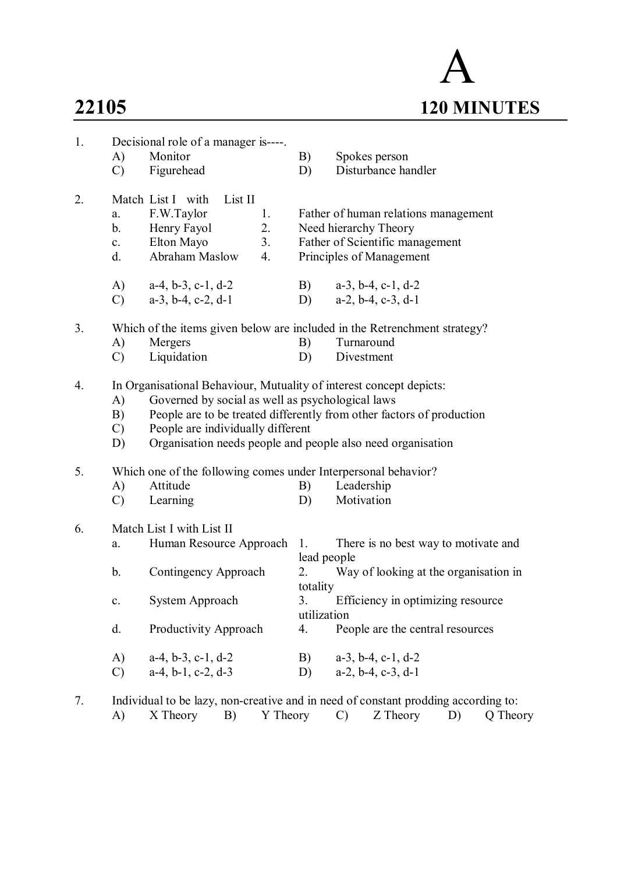# A **22105 120 MINUTES**

| 1. | A)<br>$\mathcal{C}$             | Decisional role of a manager is----.<br>Monitor<br>Figurehead                             |                      | B)<br>D)                      | Spokes person<br>Disturbance handler                                                                                                                                                                        |
|----|---------------------------------|-------------------------------------------------------------------------------------------|----------------------|-------------------------------|-------------------------------------------------------------------------------------------------------------------------------------------------------------------------------------------------------------|
| 2. | a.<br>$b_{-}$<br>c.<br>d.       | Match List I with<br>List II<br>F.W.Taylor<br>Henry Fayol<br>Elton Mayo<br>Abraham Maslow | 1.<br>2.<br>3.<br>4. |                               | Father of human relations management<br>Need hierarchy Theory<br>Father of Scientific management<br>Principles of Management                                                                                |
|    | A)<br>$\mathcal{C}$             | $a-4, b-3, c-1, d-2$<br>$a-3$ , $b-4$ , $c-2$ , $d-1$                                     |                      | B)                            | $a-3$ , $b-4$ , $c-1$ , $d-2$<br>D) $a-2, b-4, c-3, d-1$                                                                                                                                                    |
| 3. | A)<br>$\mathcal{C}$             | Mergers<br>Liquidation                                                                    |                      | B)<br>D)                      | Which of the items given below are included in the Retrenchment strategy?<br>Turnaround<br>Divestment                                                                                                       |
| 4. | A)<br>B)<br>$\mathcal{C}$<br>D) | Governed by social as well as psychological laws<br>People are individually different     |                      |                               | In Organisational Behaviour, Mutuality of interest concept depicts:<br>People are to be treated differently from other factors of production<br>Organisation needs people and people also need organisation |
| 5. | A)<br>$\mathcal{C}$             | Which one of the following comes under Interpersonal behavior?<br>Attitude<br>Learning    |                      | B)<br>D)                      | Leadership<br>Motivation                                                                                                                                                                                    |
| 6. | a.<br>b.                        | Match List I with List II<br>Human Resource Approach 1.<br>Contingency Approach           |                      | lead people<br>2.<br>totality | There is no best way to motivate and<br>Way of looking at the organisation in                                                                                                                               |
|    | $\mathbf{c}$ .                  | System Approach                                                                           |                      | 3.<br>utilization             | Efficiency in optimizing resource                                                                                                                                                                           |
|    | d.                              | Productivity Approach                                                                     |                      | 4.                            | People are the central resources                                                                                                                                                                            |
|    | A)<br>$\mathcal{C}$             | $a-4, b-3, c-1, d-2$<br>$a-4$ , $b-1$ , $c-2$ , $d-3$                                     |                      | B)<br>D)                      | $a-3$ , $b-4$ , $c-1$ , $d-2$<br>$a-2$ , $b-4$ , $c-3$ , $d-1$                                                                                                                                              |

7. Individual to be lazy, non-creative and in need of constant prodding according to: A) X Theory B) Y Theory C) Z Theory D) Q Theory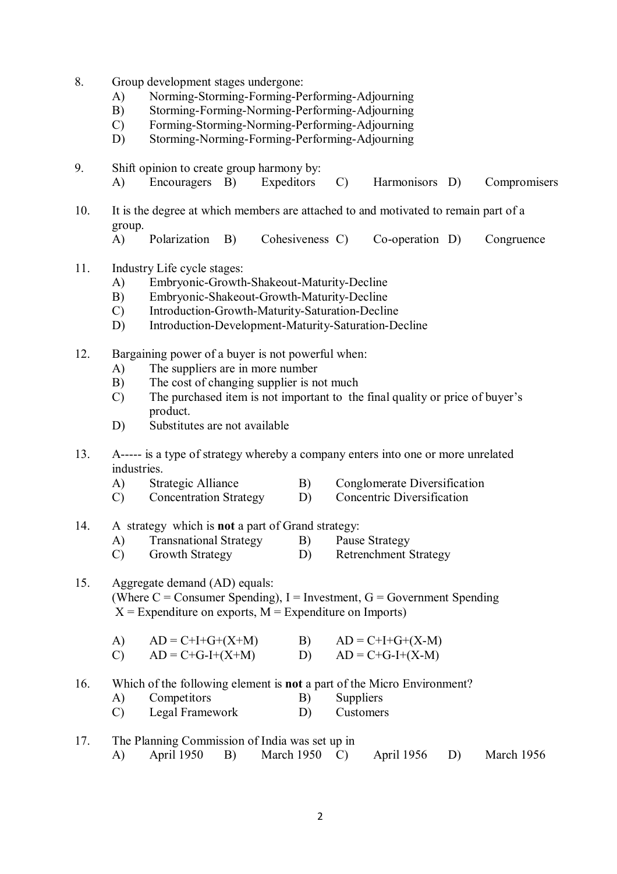- 8. Group development stages undergone:
	- A) Norming-Storming-Forming-Performing-Adjourning
	- B) Storming-Forming-Norming-Performing-Adjourning
	- C) Forming-Storming-Norming-Performing-Adjourning
	- D) Storming-Norming-Forming-Performing-Adjourning

9. Shift opinion to create group harmony by:

- A) Encouragers B) Expeditors C) Harmonisors D) Compromisers
- 10. It is the degree at which members are attached to and motivated to remain part of a group.
	- A) Polarization B) Cohesiveness C) Co-operation D) Congruence
- 11. Industry Life cycle stages:
	- A) Embryonic-Growth-Shakeout-Maturity-Decline<br>
	B) Embryonic-Shakeout-Growth-Maturity-Decline
	- B) Embryonic-Shakeout-Growth-Maturity-Decline
	- C) Introduction-Growth-Maturity-Saturation-Decline
	- D) Introduction-Development-Maturity-Saturation-Decline
- 12. Bargaining power of a buyer is not powerful when:
	- A) The suppliers are in more number
	- B) The cost of changing supplier is not much
	- C) The purchased item is not important to the final quality or price of buyer's product.
	- D) Substitutes are not available
- 13. A----- is a type of strategy whereby a company enters into one or more unrelated industries.
	- A) Strategic Alliance B) Conglomerate Diversification
	- C) Concentration Strategy D) Concentric Diversification
- 14. A strategy which is **not** a part of Grand strategy:
	- A) Transnational Strategy B) Pause Strategy
	- C) Growth Strategy D) Retrenchment Strategy

## 15. Aggregate demand (AD) equals: (Where  $C =$  Consumer Spending), I = Investment, G = Government Spending  $X =$  Expenditure on exports,  $M =$  Expenditure on Imports)

| A)     | $AD = C+I+G+(X+M)$                               | $AD = C+I+G+(X-M)$                          |
|--------|--------------------------------------------------|---------------------------------------------|
| $\sim$ | $\sim$ $\sim$ $\sim$ $\sim$ $\sim$ $\sim$ $\sim$ | $\alpha \cdot \alpha$ r $\alpha$ r $\alpha$ |

- C)  $AD = C + G I + (X + M)$  D)  $AD = C + G I + (X M)$
- 16. Which of the following element is **not** a part of the Micro Environment?
	- A) Competitors B) Suppliers
	- C) Legal Framework D) Customers

| 17. |  | The Planning Commission of India was set up in          |  |  |
|-----|--|---------------------------------------------------------|--|--|
|     |  | A) April 1950 B) March 1950 C) April 1956 D) March 1956 |  |  |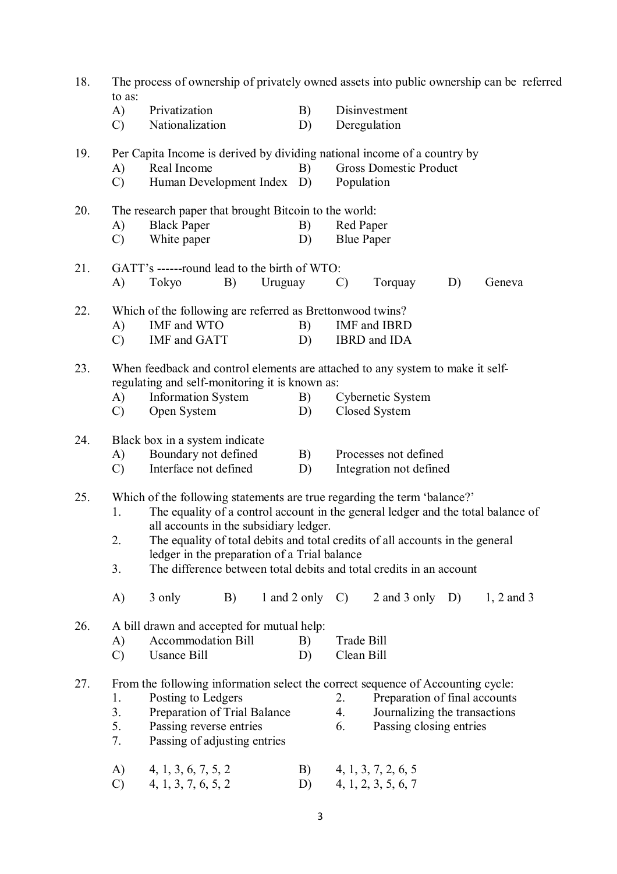| 18. | The process of ownership of privately owned assets into public ownership can be referred<br>to as: |                                                                                                                                                                                                                                                                                                                                                                                                                |               |                    |                          |                                                                                           |    |              |  |  |  |
|-----|----------------------------------------------------------------------------------------------------|----------------------------------------------------------------------------------------------------------------------------------------------------------------------------------------------------------------------------------------------------------------------------------------------------------------------------------------------------------------------------------------------------------------|---------------|--------------------|--------------------------|-------------------------------------------------------------------------------------------|----|--------------|--|--|--|
|     | A)<br>$\mathcal{C}$                                                                                | Privatization<br>Nationalization                                                                                                                                                                                                                                                                                                                                                                               |               | B)<br>D)           | Deregulation             | Disinvestment                                                                             |    |              |  |  |  |
| 19. | A)<br>$\mathcal{C}$                                                                                | Per Capita Income is derived by dividing national income of a country by<br>Real Income<br>Human Development Index D)                                                                                                                                                                                                                                                                                          |               | B)                 | Population               | <b>Gross Domestic Product</b>                                                             |    |              |  |  |  |
| 20. | A)<br>$\mathcal{C}$                                                                                | The research paper that brought Bitcoin to the world:<br><b>Black Paper</b><br>B)<br>White paper<br>D)                                                                                                                                                                                                                                                                                                         |               |                    |                          | Red Paper<br><b>Blue Paper</b>                                                            |    |              |  |  |  |
| 21. | A)                                                                                                 | GATT's ------round lead to the birth of WTO:<br>Tokyo                                                                                                                                                                                                                                                                                                                                                          | B)<br>Uruguay |                    | $\mathcal{C}$            | Torquay                                                                                   | D) | Geneva       |  |  |  |
| 22. | A)<br>$\mathcal{C}$                                                                                | Which of the following are referred as Brettonwood twins?<br>IMF and WTO<br>IMF and GATT                                                                                                                                                                                                                                                                                                                       |               | B)<br>D)           |                          | IMF and IBRD<br>IBRD and IDA                                                              |    |              |  |  |  |
| 23. | A)<br>$\mathcal{C}$                                                                                | When feedback and control elements are attached to any system to make it self-<br>regulating and self-monitoring it is known as:<br><b>Information System</b><br>Open System                                                                                                                                                                                                                                   |               | B)<br>D)           |                          | Cybernetic System<br>Closed System                                                        |    |              |  |  |  |
| 24. | A)<br>$\mathcal{C}$                                                                                | Black box in a system indicate<br>Boundary not defined<br>Interface not defined                                                                                                                                                                                                                                                                                                                                |               | B)<br>D)           |                          | Processes not defined<br>Integration not defined                                          |    |              |  |  |  |
| 25. | 1.<br>2.<br>3.                                                                                     | Which of the following statements are true regarding the term 'balance?'<br>The equality of a control account in the general ledger and the total balance of<br>all accounts in the subsidiary ledger.<br>The equality of total debits and total credits of all accounts in the general<br>ledger in the preparation of a Trial balance<br>The difference between total debits and total credits in an account |               |                    |                          |                                                                                           |    |              |  |  |  |
|     | A)                                                                                                 | 3 only                                                                                                                                                                                                                                                                                                                                                                                                         | B)            | 1 and 2 only $C$ ) |                          | $2$ and $3$ only D)                                                                       |    | $1, 2$ and 3 |  |  |  |
| 26. | A)<br>$\mathcal{C}$                                                                                | A bill drawn and accepted for mutual help:<br>Accommodation Bill<br><b>Usance Bill</b>                                                                                                                                                                                                                                                                                                                         |               | B)<br>D)           | Trade Bill<br>Clean Bill |                                                                                           |    |              |  |  |  |
| 27. | 1.<br>3.<br>5.<br>7.                                                                               | From the following information select the correct sequence of Accounting cycle:<br>Posting to Ledgers<br>Preparation of Trial Balance<br>Passing reverse entries<br>Passing of adjusting entries                                                                                                                                                                                                               |               |                    | 2.<br>4.<br>6.           | Preparation of final accounts<br>Journalizing the transactions<br>Passing closing entries |    |              |  |  |  |
|     | A)<br>$\mathcal{C}$                                                                                | 4, 1, 3, 6, 7, 5, 2<br>4, 1, 3, 7, 6, 5, 2                                                                                                                                                                                                                                                                                                                                                                     |               | B)<br>D)           |                          | 4, 1, 3, 7, 2, 6, 5<br>4, 1, 2, 3, 5, 6, 7                                                |    |              |  |  |  |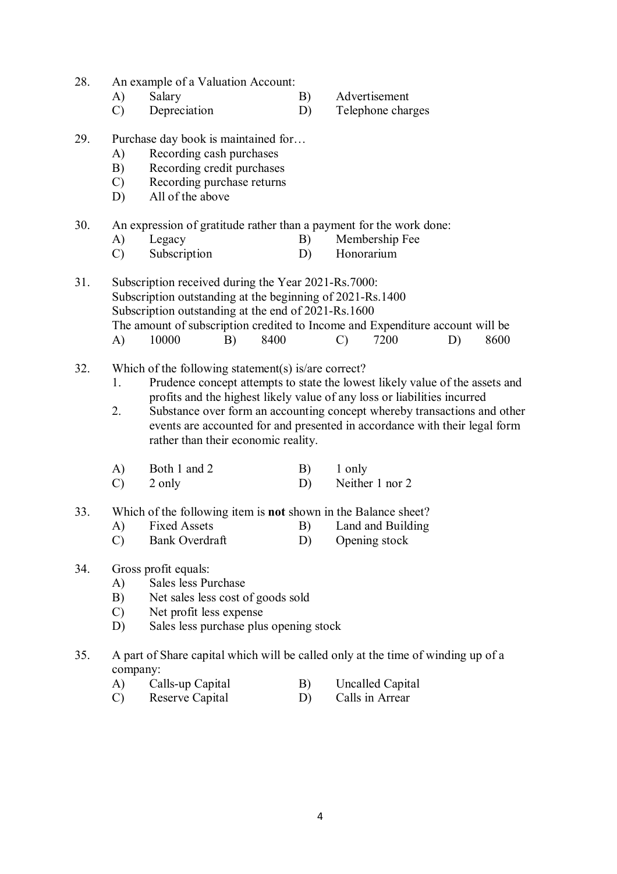- 28. An example of a Valuation Account:
	- A) Salary B) Advertisement
	- C) Depreciation D) Telephone charges
		-
- 29. Purchase day book is maintained for…
	- A) Recording cash purchases
	- B) Recording credit purchases
	- C) Recording purchase returns
	- D) All of the above
- 30. An expression of gratitude rather than a payment for the work done:
	- A) Legacy B) Membership Fee
	- C) Subscription D) Honorarium

31. Subscription received during the Year 2021-Rs.7000: Subscription outstanding at the beginning of 2021-Rs.1400 Subscription outstanding at the end of 2021-Rs.1600 The amount of subscription credited to Income and Expenditure account will be A) 10000 B) 8400 C) 7200 D) 8600

- 32. Which of the following statement(s) is/are correct?
	- 1. Prudence concept attempts to state the lowest likely value of the assets and profits and the highest likely value of any loss or liabilities incurred
	- 2. Substance over form an accounting concept whereby transactions and other events are accounted for and presented in accordance with their legal form rather than their economic reality.
	- A) Both 1 and 2 B) 1 only C) 2 only D) Neither 1 nor 2
- 33. Which of the following item is **not** shown in the Balance sheet?
	- A) Fixed Assets B) Land and Building
		- C) Bank Overdraft D) Opening stock
- 34. Gross profit equals:
	- A) Sales less Purchase
	- B) Net sales less cost of goods sold
	- C) Net profit less expense
	- D) Sales less purchase plus opening stock
- 35. A part of Share capital which will be called only at the time of winding up of a company:
	- A) Calls-up Capital B) Uncalled Capital
	- C) Reserve Capital D) Calls in Arrear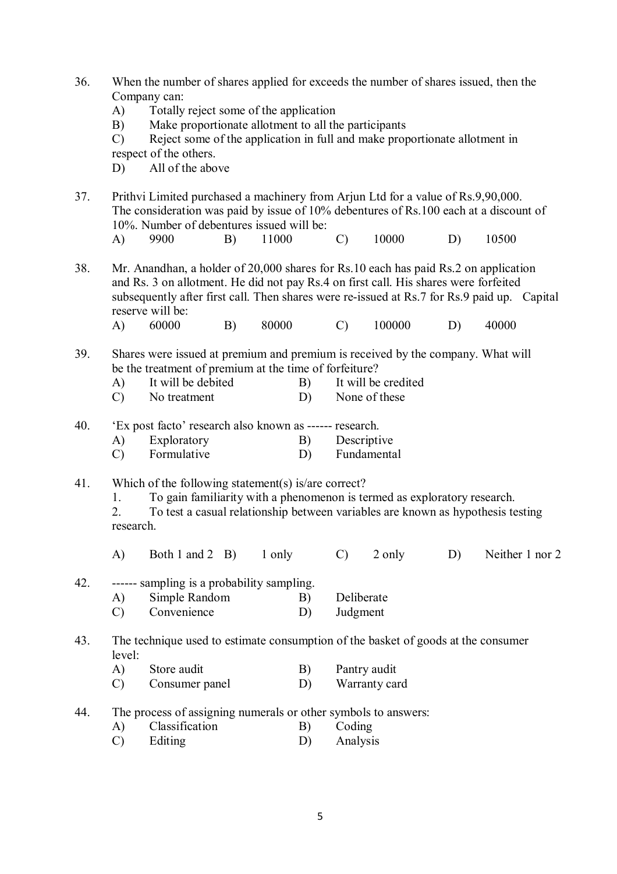| 36. | A)<br>B)<br>$\mathcal{C}$<br>D)                                                                                                                                                                                                                                                                                                                | When the number of shares applied for exceeds the number of shares issued, then the<br>Company can:<br>Totally reject some of the application<br>Make proportionate allotment to all the participants<br>Reject some of the application in full and make proportionate allotment in<br>respect of the others.<br>All of the above |    |        |          |                        |                                      |    |       |                 |  |
|-----|------------------------------------------------------------------------------------------------------------------------------------------------------------------------------------------------------------------------------------------------------------------------------------------------------------------------------------------------|-----------------------------------------------------------------------------------------------------------------------------------------------------------------------------------------------------------------------------------------------------------------------------------------------------------------------------------|----|--------|----------|------------------------|--------------------------------------|----|-------|-----------------|--|
| 37. |                                                                                                                                                                                                                                                                                                                                                | Prithvi Limited purchased a machinery from Arjun Ltd for a value of Rs.9,90,000.<br>The consideration was paid by issue of 10% debentures of Rs.100 each at a discount of<br>10%. Number of debentures issued will be:                                                                                                            |    |        |          |                        |                                      |    |       |                 |  |
|     | A)                                                                                                                                                                                                                                                                                                                                             | 9900                                                                                                                                                                                                                                                                                                                              | B) | 11000  |          | $\mathcal{C}$          | 10000                                | D) | 10500 |                 |  |
| 38. | Mr. Anandhan, a holder of 20,000 shares for Rs.10 each has paid Rs.2 on application<br>and Rs. 3 on allotment. He did not pay Rs. 4 on first call. His shares were forfeited<br>subsequently after first call. Then shares were re-issued at Rs.7 for Rs.9 paid up. Capital<br>reserve will be:<br>80000<br>60000<br>B)<br>$\mathcal{C}$<br>A) |                                                                                                                                                                                                                                                                                                                                   |    |        |          |                        | 100000                               | D) | 40000 |                 |  |
| 39. | A)<br>$\mathcal{C}$                                                                                                                                                                                                                                                                                                                            | Shares were issued at premium and premium is received by the company. What will<br>be the treatment of premium at the time of forfeiture?<br>It will be debited<br>B)<br>D)<br>No treatment                                                                                                                                       |    |        |          |                        | It will be credited<br>None of these |    |       |                 |  |
| 40. | A)<br>$\mathcal{C}$                                                                                                                                                                                                                                                                                                                            | 'Ex post facto' research also known as ------ research.<br>Exploratory<br>Formulative                                                                                                                                                                                                                                             |    |        | B)<br>D) | Descriptive            | Fundamental                          |    |       |                 |  |
| 41. | 1.<br>2.<br>research.                                                                                                                                                                                                                                                                                                                          | Which of the following statement(s) is/are correct?<br>To gain familiarity with a phenomenon is termed as exploratory research.<br>To test a casual relationship between variables are known as hypothesis testing                                                                                                                |    |        |          |                        |                                      |    |       |                 |  |
|     | A)                                                                                                                                                                                                                                                                                                                                             | Both 1 and 2 $\,$ B)                                                                                                                                                                                                                                                                                                              |    | 1 only |          | $\mathcal{C}$          | 2 only                               | D) |       | Neither 1 nor 2 |  |
| 42. | A)<br>$\mathcal{C}$                                                                                                                                                                                                                                                                                                                            | ------ sampling is a probability sampling.<br>Simple Random<br>Convenience                                                                                                                                                                                                                                                        |    |        | B)<br>D) | Deliberate<br>Judgment |                                      |    |       |                 |  |
| 43. | The technique used to estimate consumption of the basket of goods at the consumer<br>level:                                                                                                                                                                                                                                                    |                                                                                                                                                                                                                                                                                                                                   |    |        |          |                        |                                      |    |       |                 |  |
|     | A)                                                                                                                                                                                                                                                                                                                                             | Store audit                                                                                                                                                                                                                                                                                                                       |    |        | B)       |                        | Pantry audit                         |    |       |                 |  |
|     | $\mathcal{C}$                                                                                                                                                                                                                                                                                                                                  | Consumer panel                                                                                                                                                                                                                                                                                                                    |    |        | D)       |                        | Warranty card                        |    |       |                 |  |
| 44. |                                                                                                                                                                                                                                                                                                                                                | The process of assigning numerals or other symbols to answers:                                                                                                                                                                                                                                                                    |    |        |          |                        |                                      |    |       |                 |  |
|     | A)                                                                                                                                                                                                                                                                                                                                             | Classification                                                                                                                                                                                                                                                                                                                    |    |        | B)       | Coding                 |                                      |    |       |                 |  |
|     | $\mathcal{C}$                                                                                                                                                                                                                                                                                                                                  | Editing                                                                                                                                                                                                                                                                                                                           |    |        | D)       | Analysis               |                                      |    |       |                 |  |
|     |                                                                                                                                                                                                                                                                                                                                                |                                                                                                                                                                                                                                                                                                                                   |    |        |          |                        |                                      |    |       |                 |  |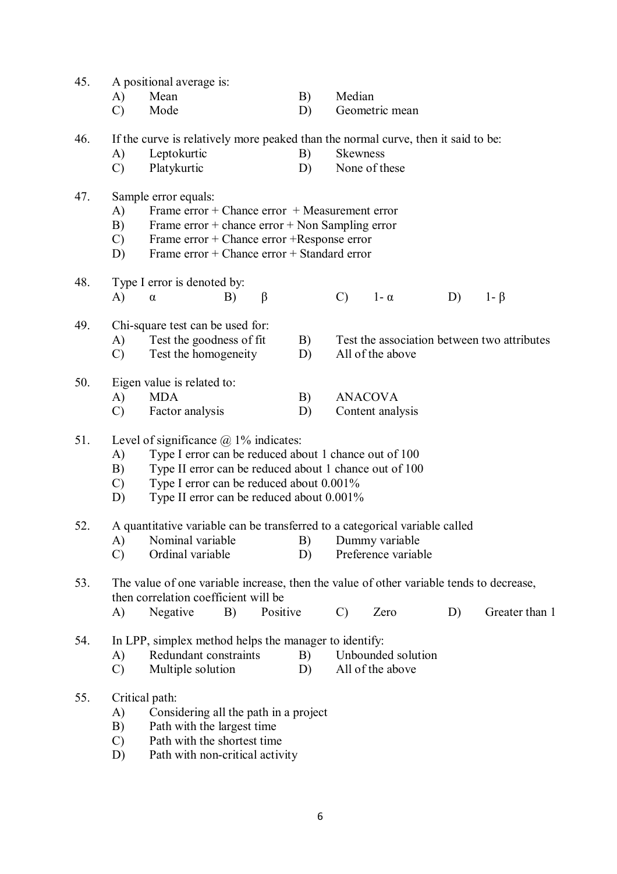| 45. |                                                                                                                                                                                                                                                                                             | A positional average is:                                                                                                        |         |          |          |                 |                                        |    |                                             |
|-----|---------------------------------------------------------------------------------------------------------------------------------------------------------------------------------------------------------------------------------------------------------------------------------------------|---------------------------------------------------------------------------------------------------------------------------------|---------|----------|----------|-----------------|----------------------------------------|----|---------------------------------------------|
|     | A)                                                                                                                                                                                                                                                                                          | Mean                                                                                                                            |         |          | B)       | Median          |                                        |    |                                             |
|     | $\mathcal{C}$                                                                                                                                                                                                                                                                               | Mode                                                                                                                            |         |          | D)       |                 | Geometric mean                         |    |                                             |
| 46. |                                                                                                                                                                                                                                                                                             | If the curve is relatively more peaked than the normal curve, then it said to be:                                               |         |          |          |                 |                                        |    |                                             |
|     | A)                                                                                                                                                                                                                                                                                          | Leptokurtic                                                                                                                     |         |          | B)       | <b>Skewness</b> |                                        |    |                                             |
|     | $\mathcal{C}$                                                                                                                                                                                                                                                                               | Platykurtic                                                                                                                     |         |          | D)       |                 | None of these                          |    |                                             |
|     |                                                                                                                                                                                                                                                                                             |                                                                                                                                 |         |          |          |                 |                                        |    |                                             |
| 47. | A)                                                                                                                                                                                                                                                                                          | Sample error equals:<br>Frame $error + Change error + Measurement error$                                                        |         |          |          |                 |                                        |    |                                             |
|     | B)                                                                                                                                                                                                                                                                                          | Frame $error + chance error + Non Sampling error$                                                                               |         |          |          |                 |                                        |    |                                             |
|     | $\mathcal{C}$                                                                                                                                                                                                                                                                               | Frame error + Chance error + Response error                                                                                     |         |          |          |                 |                                        |    |                                             |
|     | D)                                                                                                                                                                                                                                                                                          | Frame error + Chance error + Standard error                                                                                     |         |          |          |                 |                                        |    |                                             |
|     |                                                                                                                                                                                                                                                                                             |                                                                                                                                 |         |          |          |                 |                                        |    |                                             |
| 48. | A)                                                                                                                                                                                                                                                                                          | Type I error is denoted by:                                                                                                     | B)      |          |          | $\mathcal{C}$   | $1 - \alpha$                           | D) | $1 - \beta$                                 |
|     |                                                                                                                                                                                                                                                                                             | $\alpha$                                                                                                                        | $\beta$ |          |          |                 |                                        |    |                                             |
| 49. |                                                                                                                                                                                                                                                                                             | Chi-square test can be used for:                                                                                                |         |          |          |                 |                                        |    |                                             |
|     | A)                                                                                                                                                                                                                                                                                          | Test the goodness of fit                                                                                                        |         |          | B)       |                 |                                        |    | Test the association between two attributes |
|     | C)                                                                                                                                                                                                                                                                                          | Test the homogeneity                                                                                                            |         |          | D)       |                 | All of the above                       |    |                                             |
| 50. |                                                                                                                                                                                                                                                                                             | Eigen value is related to:                                                                                                      |         |          |          |                 |                                        |    |                                             |
|     | A)                                                                                                                                                                                                                                                                                          | <b>MDA</b>                                                                                                                      |         |          | B)       |                 | <b>ANACOVA</b>                         |    |                                             |
|     | $\mathcal{C}$                                                                                                                                                                                                                                                                               | Factor analysis                                                                                                                 |         |          | D)       |                 | Content analysis                       |    |                                             |
| 51. | Level of significance $\omega$ 1% indicates:<br>Type I error can be reduced about 1 chance out of 100<br>A)<br>Type II error can be reduced about 1 chance out of 100<br>B)<br>Type I error can be reduced about 0.001%<br>$\mathcal{C}$<br>Type II error can be reduced about 0.001%<br>D) |                                                                                                                                 |         |          |          |                 |                                        |    |                                             |
| 52. |                                                                                                                                                                                                                                                                                             | A quantitative variable can be transferred to a categorical variable called                                                     |         |          |          |                 |                                        |    |                                             |
|     |                                                                                                                                                                                                                                                                                             | A) Nominal variable B) Dummy variable                                                                                           |         |          |          |                 |                                        |    |                                             |
|     | $\mathcal{C}$                                                                                                                                                                                                                                                                               | Ordinal variable                                                                                                                |         |          | D)       |                 | Preference variable                    |    |                                             |
| 53. |                                                                                                                                                                                                                                                                                             | The value of one variable increase, then the value of other variable tends to decrease,<br>then correlation coefficient will be |         |          |          |                 |                                        |    |                                             |
|     | A)                                                                                                                                                                                                                                                                                          | Negative                                                                                                                        | B)      | Positive |          | $\mathcal{C}$   | Zero                                   | D) | Greater than 1                              |
| 54. | A)<br>$\mathcal{C}$                                                                                                                                                                                                                                                                         | In LPP, simplex method helps the manager to identify:<br>Redundant constraints<br>Multiple solution                             |         |          | B)<br>D) |                 | Unbounded solution<br>All of the above |    |                                             |
| 55. |                                                                                                                                                                                                                                                                                             | Critical path:                                                                                                                  |         |          |          |                 |                                        |    |                                             |
|     | A)                                                                                                                                                                                                                                                                                          | Considering all the path in a project                                                                                           |         |          |          |                 |                                        |    |                                             |
|     | B)                                                                                                                                                                                                                                                                                          | Path with the largest time                                                                                                      |         |          |          |                 |                                        |    |                                             |
|     | $\mathcal{C}$                                                                                                                                                                                                                                                                               | Path with the shortest time                                                                                                     |         |          |          |                 |                                        |    |                                             |
|     | D)                                                                                                                                                                                                                                                                                          | Path with non-critical activity                                                                                                 |         |          |          |                 |                                        |    |                                             |
|     |                                                                                                                                                                                                                                                                                             |                                                                                                                                 |         |          |          |                 |                                        |    |                                             |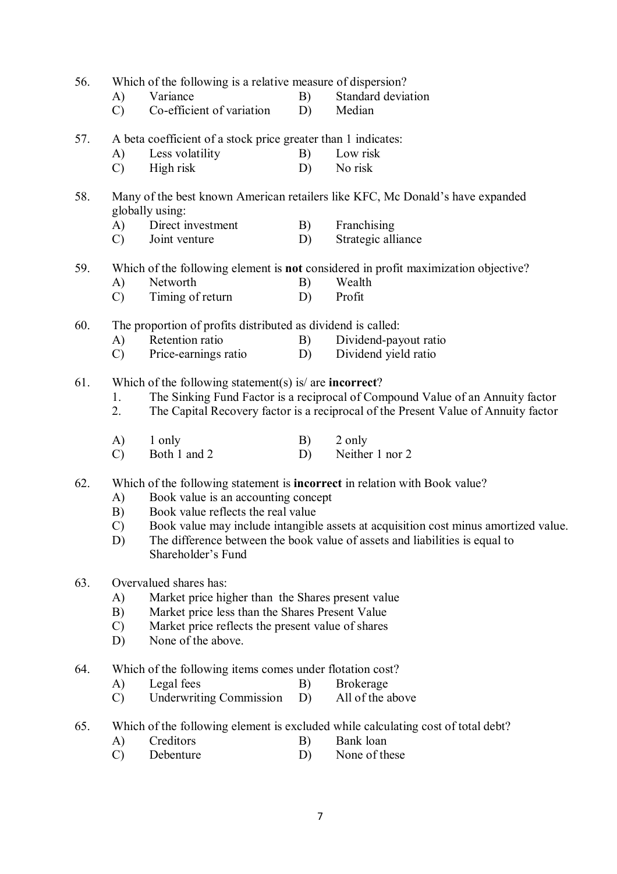| 56. | A)<br>$\mathcal{C}$                                                                                                                                                                                                                          | Which of the following is a relative measure of dispersion?<br>Variance<br>Co-efficient of variation     | B)<br>D) | Standard deviation<br>Median                                                                                                                                                                                                                            |  |  |  |
|-----|----------------------------------------------------------------------------------------------------------------------------------------------------------------------------------------------------------------------------------------------|----------------------------------------------------------------------------------------------------------|----------|---------------------------------------------------------------------------------------------------------------------------------------------------------------------------------------------------------------------------------------------------------|--|--|--|
| 57. | A)<br>$\mathcal{C}$                                                                                                                                                                                                                          | A beta coefficient of a stock price greater than 1 indicates:<br>Less volatility<br>High risk            | B)<br>D) | Low risk<br>No risk                                                                                                                                                                                                                                     |  |  |  |
| 58. | A)<br>$\mathcal{C}$                                                                                                                                                                                                                          | globally using:<br>Direct investment<br>Joint venture                                                    | B)<br>D) | Many of the best known American retailers like KFC, Mc Donald's have expanded<br>Franchising<br>Strategic alliance                                                                                                                                      |  |  |  |
| 59. | A)<br>$\mathcal{C}$                                                                                                                                                                                                                          | Networth<br>Timing of return                                                                             | B)<br>D) | Which of the following element is not considered in profit maximization objective?<br>Wealth<br>Profit                                                                                                                                                  |  |  |  |
| 60. | A)<br>$\mathcal{C}$                                                                                                                                                                                                                          | The proportion of profits distributed as dividend is called:<br>Retention ratio<br>Price-earnings ratio  | B)<br>D) | Dividend-payout ratio<br>Dividend yield ratio                                                                                                                                                                                                           |  |  |  |
| 61. | 1.<br>2.                                                                                                                                                                                                                                     | Which of the following statement(s) is/ are <b>incorrect</b> ?                                           |          | The Sinking Fund Factor is a reciprocal of Compound Value of an Annuity factor<br>The Capital Recovery factor is a reciprocal of the Present Value of Annuity factor                                                                                    |  |  |  |
|     | A)<br>$\mathcal{C}$                                                                                                                                                                                                                          | 1 only<br>Both 1 and 2                                                                                   | B)<br>D) | 2 only<br>Neither 1 nor 2                                                                                                                                                                                                                               |  |  |  |
| 62. | A)<br>B)<br>$\mathcal{C}$<br>D)                                                                                                                                                                                                              | Book value is an accounting concept<br>Book value reflects the real value<br>Shareholder's Fund          |          | Which of the following statement is <b>incorrect</b> in relation with Book value?<br>Book value may include intangible assets at acquisition cost minus amortized value.<br>The difference between the book value of assets and liabilities is equal to |  |  |  |
| 63. | Overvalued shares has:<br>Market price higher than the Shares present value<br>A)<br>Market price less than the Shares Present Value<br>B)<br>Market price reflects the present value of shares<br>$\mathcal{C}$<br>None of the above.<br>D) |                                                                                                          |          |                                                                                                                                                                                                                                                         |  |  |  |
| 64. | A)<br>$\mathcal{C}$                                                                                                                                                                                                                          | Which of the following items comes under flotation cost?<br>Legal fees<br><b>Underwriting Commission</b> | B)<br>D) | <b>Brokerage</b><br>All of the above                                                                                                                                                                                                                    |  |  |  |
| 65. | A)<br>$\mathcal{C}$                                                                                                                                                                                                                          | Creditors<br>Debenture                                                                                   | B)<br>D) | Which of the following element is excluded while calculating cost of total debt?<br>Bank loan<br>None of these                                                                                                                                          |  |  |  |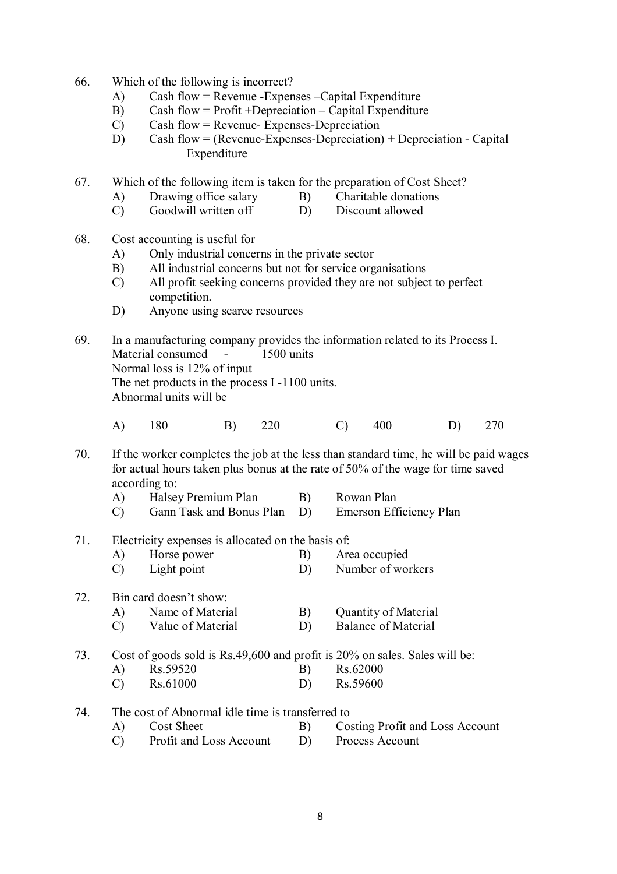- 66. Which of the following is incorrect?
	- A) Cash flow = Revenue -Expenses –Capital Expenditure
	- B) Cash flow = Profit +Depreciation Capital Expenditure<br>
	C) Cash flow = Revenue- Expenses-Depreciation
	- $Cash flow = Revenue Expenses-Depreciation$
	- D) Cash flow = (Revenue-Expenses-Depreciation) + Depreciation Capital Expenditure
- 67. Which of the following item is taken for the preparation of Cost Sheet?
	- A) Drawing office salary B) Charitable donations
	- C) Goodwill written off D) Discount allowed
- 68. Cost accounting is useful for
	- A) Only industrial concerns in the private sector
	- B) All industrial concerns but not for service organisations
	- C) All profit seeking concerns provided they are not subject to perfect competition.
	- D) Anyone using scarce resources
- 69. In a manufacturing company provides the information related to its Process I. Material consumed - 1500 units Normal loss is 12% of input The net products in the process I -1100 units. Abnormal units will be
	- A) 180 B) 220 C) 400 D) 270
- 70. If the worker completes the job at the less than standard time, he will be paid wages for actual hours taken plus bonus at the rate of 50% of the wage for time saved according to:
	- A) Halsey Premium Plan B) Rowan Plan
	- C) Gann Task and Bonus Plan D) Emerson Efficiency Plan
- 71. Electricity expenses is allocated on the basis of:
	- A) Horse power B) Area occupied C) Light point D) Number of workers
- 72. Bin card doesn't show:
	- A) Name of Material B) Quantity of Material
	- C) Value of Material D) Balance of Material
- 73. Cost of goods sold is Rs.49,600 and profit is 20% on sales. Sales will be:
	- A) Rs.59520 B) Rs.62000 C) Rs.61000 D) Rs.59600
	-
- 74. The cost of Abnormal idle time is transferred to
	- A) Cost Sheet B) Costing Profit and Loss Account
	- C) Profit and Loss Account D) Process Account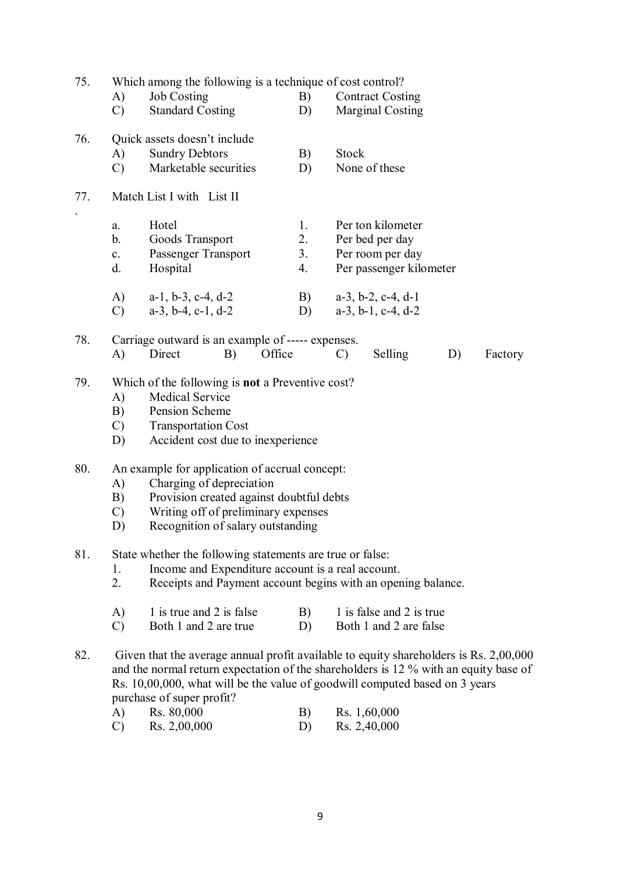| 75. | A)<br>$\mathcal{C}$                                                                                                                                                                                                                                                                                                                 | Which among the following is a technique of cost control?<br><b>Job Costing</b><br>B)<br><b>Standard Costing</b><br>D)                                                                             |    |                      |                                                                                     | <b>Contract Costing</b><br><b>Marginal Costing</b> |                                                                |    |         |  |
|-----|-------------------------------------------------------------------------------------------------------------------------------------------------------------------------------------------------------------------------------------------------------------------------------------------------------------------------------------|----------------------------------------------------------------------------------------------------------------------------------------------------------------------------------------------------|----|----------------------|-------------------------------------------------------------------------------------|----------------------------------------------------|----------------------------------------------------------------|----|---------|--|
| 76. | A)<br>$\mathcal{C}$                                                                                                                                                                                                                                                                                                                 | Quick assets doesn't include<br><b>Sundry Debtors</b><br>Marketable securities                                                                                                                     |    | B)<br>D)             | <b>Stock</b>                                                                        | None of these                                      |                                                                |    |         |  |
| 77. |                                                                                                                                                                                                                                                                                                                                     | Match List I with List II                                                                                                                                                                          |    |                      |                                                                                     |                                                    |                                                                |    |         |  |
|     | a.<br>$b_{\cdot}$<br>$c_{\cdot}$<br>d.                                                                                                                                                                                                                                                                                              | Hotel<br>Goods Transport<br>Passenger Transport<br>Hospital                                                                                                                                        |    | 1.<br>2.<br>3.<br>4. | Per ton kilometer<br>Per bed per day<br>Per room per day<br>Per passenger kilometer |                                                    |                                                                |    |         |  |
|     | $\bf{A}$<br>$\mathcal{C}$                                                                                                                                                                                                                                                                                                           | $a-1$ , $b-3$ , $c-4$ , $d-2$<br>$a-3$ , $b-4$ , $c-1$ , $d-2$                                                                                                                                     |    |                      | B)<br>D)                                                                            |                                                    | $a-3$ , $b-2$ , $c-4$ , $d-1$<br>$a-3$ , $b-1$ , $c-4$ , $d-2$ |    |         |  |
| 78. | A)                                                                                                                                                                                                                                                                                                                                  | Carriage outward is an example of ----- expenses.<br>Direct                                                                                                                                        | B) | Office               |                                                                                     | $\mathcal{C}$                                      | Selling                                                        | D) | Factory |  |
| 79. | $\mathbf{A}$<br>B)<br>$\mathcal{C}$<br>D)                                                                                                                                                                                                                                                                                           | Which of the following is <b>not</b> a Preventive cost?<br><b>Medical Service</b><br>Pension Scheme<br><b>Transportation Cost</b><br>Accident cost due to inexperience                             |    |                      |                                                                                     |                                                    |                                                                |    |         |  |
| 80. | A)<br>B)<br>$\mathcal{C}$<br>D)                                                                                                                                                                                                                                                                                                     | An example for application of accrual concept:<br>Charging of depreciation<br>Provision created against doubtful debts<br>Writing off of preliminary expenses<br>Recognition of salary outstanding |    |                      |                                                                                     |                                                    |                                                                |    |         |  |
| 81. | 1.<br>2.                                                                                                                                                                                                                                                                                                                            | State whether the following statements are true or false:<br>Income and Expenditure account is a real account.<br>Receipts and Payment account begins with an opening balance.                     |    |                      |                                                                                     |                                                    |                                                                |    |         |  |
|     | A)<br>$\mathcal{C}$                                                                                                                                                                                                                                                                                                                 | 1 is true and 2 is false<br>Both 1 and 2 are true                                                                                                                                                  |    |                      | B)<br>D)                                                                            |                                                    | 1 is false and 2 is true<br>Both 1 and 2 are false             |    |         |  |
| 82. | Given that the average annual profit available to equity shareholders is Rs. 2,00,000<br>and the normal return expectation of the shareholders is 12 % with an equity base of<br>Rs. 10,00,000, what will be the value of goodwill computed based on 3 years<br>purchase of super profit?<br>Rs. 80,000<br>Rs. 1,60,000<br>A)<br>B) |                                                                                                                                                                                                    |    |                      |                                                                                     |                                                    |                                                                |    |         |  |
|     | $\mathcal{C}$                                                                                                                                                                                                                                                                                                                       | Rs. 2,00,000                                                                                                                                                                                       |    |                      | D)                                                                                  |                                                    | Rs. 2,40,000                                                   |    |         |  |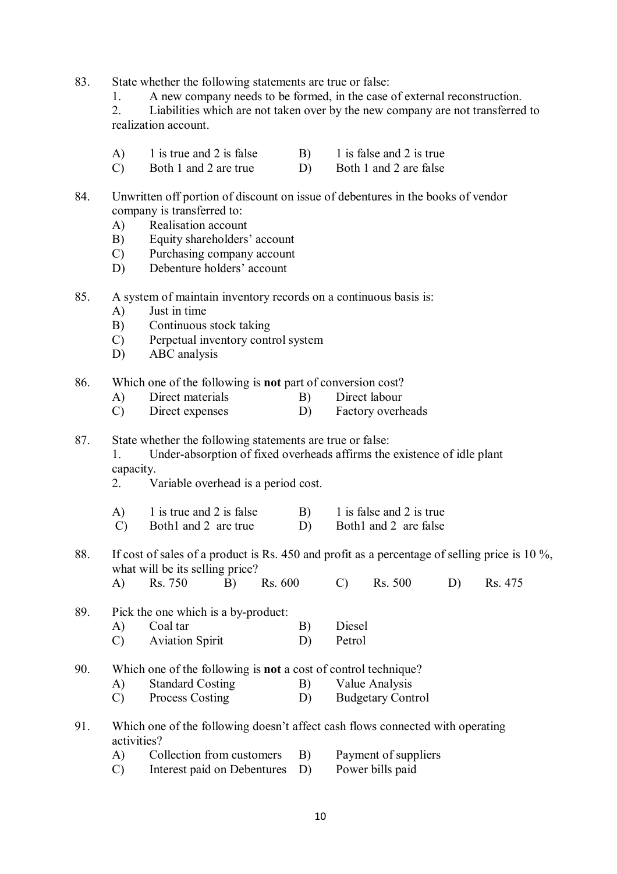- 83. State whether the following statements are true or false:
	- 1. A new company needs to be formed, in the case of external reconstruction.<br>2. Liabilities which are not taken over by the new company are not transferred

2. Liabilities which are not taken over by the new company are not transferred to realization account.

- A) 1 is true and 2 is false B) 1 is false and 2 is true
- C) Both 1 and 2 are true D) Both 1 and 2 are false
- 84. Unwritten off portion of discount on issue of debentures in the books of vendor company is transferred to:
	- A) Realisation account
	- B) Equity shareholders' account
	- C) Purchasing company account
	- D) Debenture holders' account
- 85. A system of maintain inventory records on a continuous basis is:
	- A) Just in time
	- B) Continuous stock taking
	- C) Perpetual inventory control system
	- D) ABC analysis
- 86. Which one of the following is **not** part of conversion cost?
	- A) Direct materials B) Direct labour
		- C) Direct expenses D) Factory overheads
- 87. State whether the following statements are true or false: 1. Under-absorption of fixed overheads affirms the existence of idle plant capacity.
	- 2. Variable overhead is a period cost.
	- A) 1 is true and 2 is false B) 1 is false and 2 is true
	- C) Both1 and 2 are true D) Both1 and 2 are false

88. If cost of sales of a product is Rs. 450 and profit as a percentage of selling price is 10 %, what will be its selling price?

| $\bf{A}$ | Rs. 750 | B) Rs. 600 | $(C)$ Rs. 500 | D) Rs. 475 |
|----------|---------|------------|---------------|------------|
|          |         |            |               |            |

- 89. Pick the one which is a by-product:
	- A) Coal tar B) Diesel C) Aviation Spirit D) Petrol
- 90. Which one of the following is **not** a cost of control technique?
	- A) Standard Costing B) Value Analysis
	- C) Process Costing D) Budgetary Control
- 91. Which one of the following doesn't affect cash flows connected with operating activities?
	- A) Collection from customers B) Payment of suppliers
	- C) Interest paid on Debentures D) Power bills paid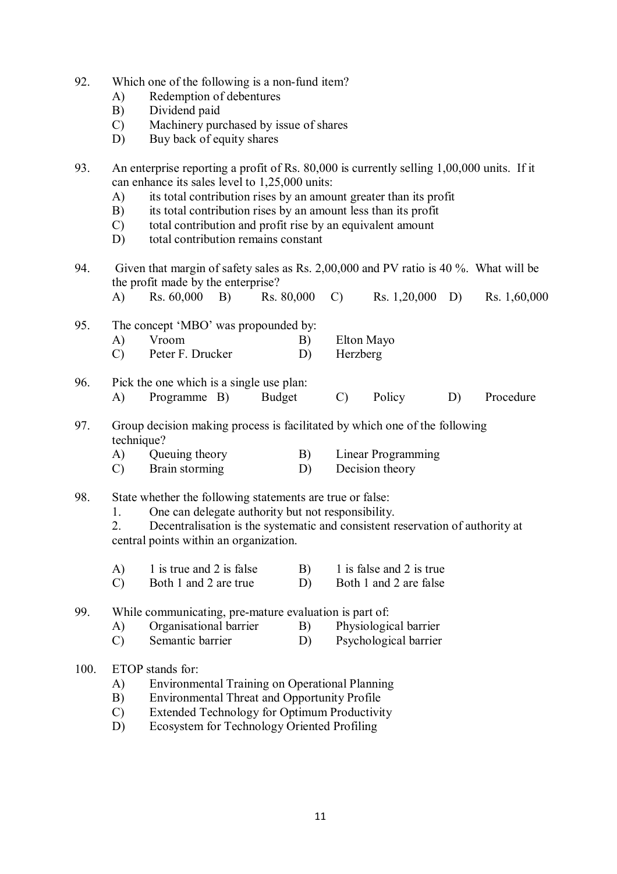- 92. Which one of the following is a non-fund item?
	- A) Redemption of debentures
	- B) Dividend paid
	- C) Machinery purchased by issue of shares
	- D) Buy back of equity shares

95. The concept 'MBO' was propounded by:

- 93. An enterprise reporting a profit of Rs. 80,000 is currently selling 1,00,000 units. If it can enhance its sales level to 1,25,000 units:
	- A) its total contribution rises by an amount greater than its profit
	- B) its total contribution rises by an amount less than its profit
	- C) total contribution and profit rise by an equivalent amount
	- D) total contribution remains constant
- 94. Given that margin of safety sales as Rs. 2,00,000 and PV ratio is 40 %. What will be the profit made by the enterprise?

A) Rs. 60,000 B) Rs. 80,000 C) Rs. 1,20,000 D) Rs. 1,60,000

A) Vroom B) Elton Mayo C) Peter F. Drucker D) Herzberg 96. Pick the one which is a single use plan: A) Programme B) Budget C) Policy D) Procedure 97. Group decision making process is facilitated by which one of the following technique? A) Queuing theory B) Linear Programming C) Brain storming D) Decision theory

98. State whether the following statements are true or false:

1. One can delegate authority but not responsibility.

2. Decentralisation is the systematic and consistent reservation of authority at central points within an organization.

| 1 is true and 2 is false | 1 is false and 2 is true |
|--------------------------|--------------------------|
| Both 1 and 2 are true    | Both 1 and 2 are false   |

99. While communicating, pre-mature evaluation is part of:<br>A) Organisational barrier B) Physiological barrier

- A) Organisational barrier B)
- C) Semantic barrier D) Psychological barrier

### 100. ETOP stands for:

- A) Environmental Training on Operational Planning
- B) Environmental Threat and Opportunity Profile
- C) Extended Technology for Optimum Productivity
- D) Ecosystem for Technology Oriented Profiling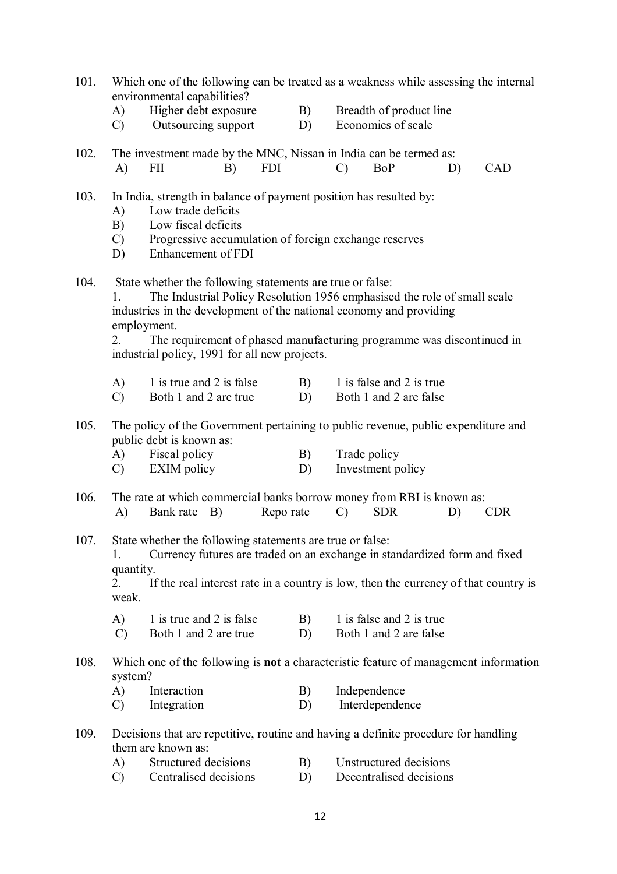| 101. | A)<br>$\mathcal{C}$             | Which one of the following can be treated as a weakness while assessing the internal<br>environmental capabilities?<br>Higher debt exposure<br>Outsourcing support                                                                                                                                                                                    |    |            | B)<br>D) |               | Breadth of product line<br>Economies of scale      |    |            |
|------|---------------------------------|-------------------------------------------------------------------------------------------------------------------------------------------------------------------------------------------------------------------------------------------------------------------------------------------------------------------------------------------------------|----|------------|----------|---------------|----------------------------------------------------|----|------------|
| 102. | $\bf{A}$                        | The investment made by the MNC, Nissan in India can be termed as:<br><b>FII</b>                                                                                                                                                                                                                                                                       | B) | <b>FDI</b> |          | $\mathcal{C}$ | <b>BoP</b>                                         | D) | <b>CAD</b> |
| 103. | A)<br>B)<br>$\mathcal{C}$<br>D) | In India, strength in balance of payment position has resulted by:<br>Low trade deficits<br>Low fiscal deficits<br>Progressive accumulation of foreign exchange reserves<br>Enhancement of FDI                                                                                                                                                        |    |            |          |               |                                                    |    |            |
| 104. | 1.<br>2.                        | State whether the following statements are true or false:<br>The Industrial Policy Resolution 1956 emphasised the role of small scale<br>industries in the development of the national economy and providing<br>employment.<br>The requirement of phased manufacturing programme was discontinued in<br>industrial policy, 1991 for all new projects. |    |            |          |               |                                                    |    |            |
|      | A)<br>$\mathcal{C}$             | 1 is true and 2 is false<br>Both 1 and 2 are true                                                                                                                                                                                                                                                                                                     |    |            | B)<br>D) |               | 1 is false and 2 is true<br>Both 1 and 2 are false |    |            |
| 105. | A)<br>$\mathcal{C}$             | The policy of the Government pertaining to public revenue, public expenditure and<br>public debt is known as:<br>Fiscal policy<br><b>EXIM</b> policy                                                                                                                                                                                                  |    |            | B)<br>D) | Trade policy  | Investment policy                                  |    |            |
| 106. | A)                              | The rate at which commercial banks borrow money from RBI is known as:<br>B)<br>Bank rate                                                                                                                                                                                                                                                              |    | Repo rate  |          | $\mathcal{C}$ | <b>SDR</b>                                         | D) | <b>CDR</b> |
| 107. | quantity.<br>2.<br>weak.<br>A)  | State whether the following statements are true or false:<br>Currency futures are traded on an exchange in standardized form and fixed<br>If the real interest rate in a country is low, then the currency of that country is<br>1 is true and 2 is false                                                                                             |    |            | B)       |               | 1 is false and 2 is true                           |    |            |
|      | $\mathcal{C}$                   | Both 1 and 2 are true                                                                                                                                                                                                                                                                                                                                 |    |            | D)       |               | Both 1 and 2 are false                             |    |            |
| 108. | system?                         | Which one of the following is <b>not</b> a characteristic feature of management information                                                                                                                                                                                                                                                           |    |            |          |               |                                                    |    |            |
|      | A)<br>$\mathcal{C}$             | Interaction<br>Integration                                                                                                                                                                                                                                                                                                                            |    |            | B)<br>D) |               | Independence<br>Interdependence                    |    |            |
| 109. |                                 | Decisions that are repetitive, routine and having a definite procedure for handling<br>them are known as:                                                                                                                                                                                                                                             |    |            |          |               |                                                    |    |            |
|      | A)                              | Structured decisions                                                                                                                                                                                                                                                                                                                                  |    |            | B)       |               | Unstructured decisions                             |    |            |
|      | $\mathcal{C}$                   | Centralised decisions                                                                                                                                                                                                                                                                                                                                 |    |            | D)       |               | Decentralised decisions                            |    |            |